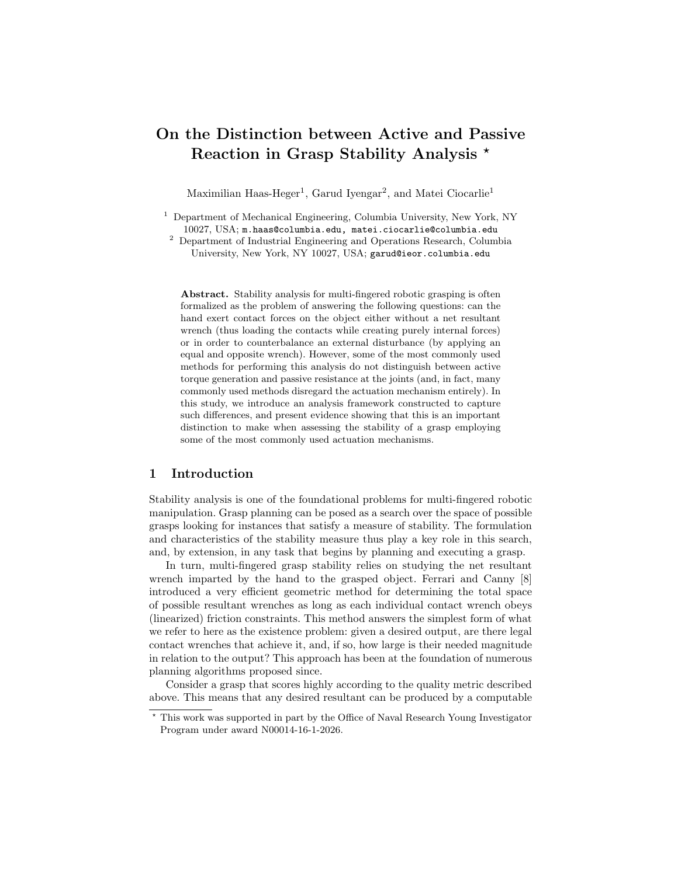# On the Distinction between Active and Passive Reaction in Grasp Stability Analysis \*

Maximilian Haas-Heger<sup>1</sup>, Garud Iyengar<sup>2</sup>, and Matei Ciocarlie<sup>1</sup>

Abstract. Stability analysis for multi-fingered robotic grasping is often formalized as the problem of answering the following questions: can the hand exert contact forces on the object either without a net resultant wrench (thus loading the contacts while creating purely internal forces) or in order to counterbalance an external disturbance (by applying an equal and opposite wrench). However, some of the most commonly used methods for performing this analysis do not distinguish between active torque generation and passive resistance at the joints (and, in fact, many commonly used methods disregard the actuation mechanism entirely). In this study, we introduce an analysis framework constructed to capture such differences, and present evidence showing that this is an important distinction to make when assessing the stability of a grasp employing some of the most commonly used actuation mechanisms.

# 1 Introduction

Stability analysis is one of the foundational problems for multi-fingered robotic manipulation. Grasp planning can be posed as a search over the space of possible grasps looking for instances that satisfy a measure of stability. The formulation and characteristics of the stability measure thus play a key role in this search, and, by extension, in any task that begins by planning and executing a grasp.

In turn, multi-fingered grasp stability relies on studying the net resultant wrench imparted by the hand to the grasped object. Ferrari and Canny [8] introduced a very efficient geometric method for determining the total space of possible resultant wrenches as long as each individual contact wrench obeys (linearized) friction constraints. This method answers the simplest form of what we refer to here as the existence problem: given a desired output, are there legal contact wrenches that achieve it, and, if so, how large is their needed magnitude in relation to the output? This approach has been at the foundation of numerous planning algorithms proposed since.

Consider a grasp that scores highly according to the quality metric described above. This means that any desired resultant can be produced by a computable

<sup>&</sup>lt;sup>1</sup> Department of Mechanical Engineering, Columbia University, New York, NY 10027, USA; m.haas@columbia.edu, matei.ciocarlie@columbia.edu

<sup>2</sup> Department of Industrial Engineering and Operations Research, Columbia University, New York, NY 10027, USA; garud@ieor.columbia.edu

<sup>?</sup> This work was supported in part by the Office of Naval Research Young Investigator Program under award N00014-16-1-2026.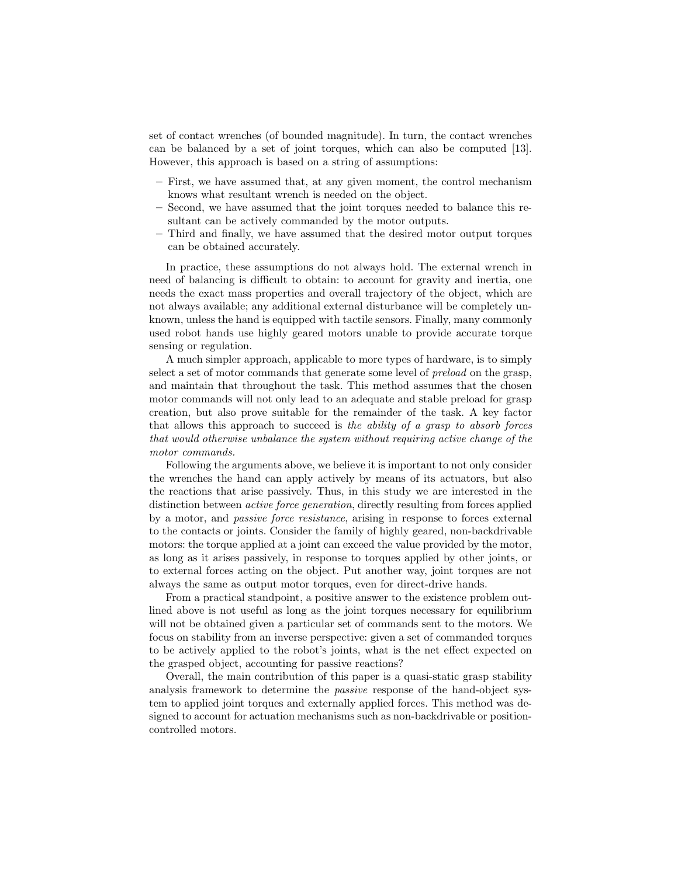set of contact wrenches (of bounded magnitude). In turn, the contact wrenches can be balanced by a set of joint torques, which can also be computed [13]. However, this approach is based on a string of assumptions:

- First, we have assumed that, at any given moment, the control mechanism knows what resultant wrench is needed on the object.
- Second, we have assumed that the joint torques needed to balance this resultant can be actively commanded by the motor outputs.
- Third and finally, we have assumed that the desired motor output torques can be obtained accurately.

In practice, these assumptions do not always hold. The external wrench in need of balancing is difficult to obtain: to account for gravity and inertia, one needs the exact mass properties and overall trajectory of the object, which are not always available; any additional external disturbance will be completely unknown, unless the hand is equipped with tactile sensors. Finally, many commonly used robot hands use highly geared motors unable to provide accurate torque sensing or regulation.

A much simpler approach, applicable to more types of hardware, is to simply select a set of motor commands that generate some level of *preload* on the grasp, and maintain that throughout the task. This method assumes that the chosen motor commands will not only lead to an adequate and stable preload for grasp creation, but also prove suitable for the remainder of the task. A key factor that allows this approach to succeed is the ability of a grasp to absorb forces that would otherwise unbalance the system without requiring active change of the motor commands.

Following the arguments above, we believe it is important to not only consider the wrenches the hand can apply actively by means of its actuators, but also the reactions that arise passively. Thus, in this study we are interested in the distinction between active force generation, directly resulting from forces applied by a motor, and passive force resistance, arising in response to forces external to the contacts or joints. Consider the family of highly geared, non-backdrivable motors: the torque applied at a joint can exceed the value provided by the motor, as long as it arises passively, in response to torques applied by other joints, or to external forces acting on the object. Put another way, joint torques are not always the same as output motor torques, even for direct-drive hands.

From a practical standpoint, a positive answer to the existence problem outlined above is not useful as long as the joint torques necessary for equilibrium will not be obtained given a particular set of commands sent to the motors. We focus on stability from an inverse perspective: given a set of commanded torques to be actively applied to the robot's joints, what is the net effect expected on the grasped object, accounting for passive reactions?

Overall, the main contribution of this paper is a quasi-static grasp stability analysis framework to determine the passive response of the hand-object system to applied joint torques and externally applied forces. This method was designed to account for actuation mechanisms such as non-backdrivable or positioncontrolled motors.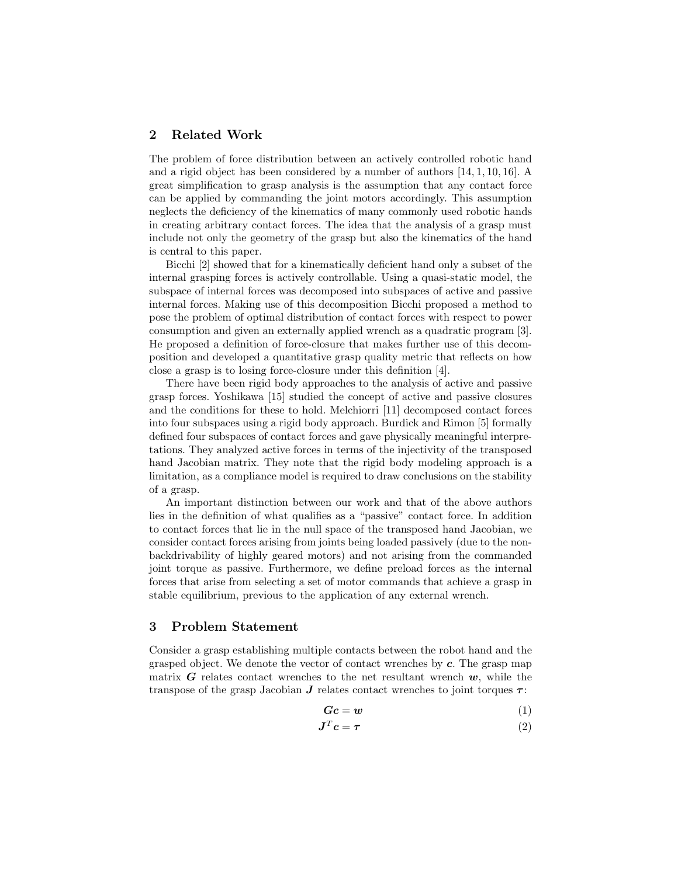# 2 Related Work

The problem of force distribution between an actively controlled robotic hand and a rigid object has been considered by a number of authors [14, 1, 10, 16]. A great simplification to grasp analysis is the assumption that any contact force can be applied by commanding the joint motors accordingly. This assumption neglects the deficiency of the kinematics of many commonly used robotic hands in creating arbitrary contact forces. The idea that the analysis of a grasp must include not only the geometry of the grasp but also the kinematics of the hand is central to this paper.

Bicchi [2] showed that for a kinematically deficient hand only a subset of the internal grasping forces is actively controllable. Using a quasi-static model, the subspace of internal forces was decomposed into subspaces of active and passive internal forces. Making use of this decomposition Bicchi proposed a method to pose the problem of optimal distribution of contact forces with respect to power consumption and given an externally applied wrench as a quadratic program [3]. He proposed a definition of force-closure that makes further use of this decomposition and developed a quantitative grasp quality metric that reflects on how close a grasp is to losing force-closure under this definition [4].

There have been rigid body approaches to the analysis of active and passive grasp forces. Yoshikawa [15] studied the concept of active and passive closures and the conditions for these to hold. Melchiorri [11] decomposed contact forces into four subspaces using a rigid body approach. Burdick and Rimon [5] formally defined four subspaces of contact forces and gave physically meaningful interpretations. They analyzed active forces in terms of the injectivity of the transposed hand Jacobian matrix. They note that the rigid body modeling approach is a limitation, as a compliance model is required to draw conclusions on the stability of a grasp.

An important distinction between our work and that of the above authors lies in the definition of what qualifies as a "passive" contact force. In addition to contact forces that lie in the null space of the transposed hand Jacobian, we consider contact forces arising from joints being loaded passively (due to the nonbackdrivability of highly geared motors) and not arising from the commanded joint torque as passive. Furthermore, we define preload forces as the internal forces that arise from selecting a set of motor commands that achieve a grasp in stable equilibrium, previous to the application of any external wrench.

## 3 Problem Statement

Consider a grasp establishing multiple contacts between the robot hand and the grasped object. We denote the vector of contact wrenches by  $c$ . The grasp map matrix G relates contact wrenches to the net resultant wrench  $w$ , while the transpose of the grasp Jacobian  $J$  relates contact wrenches to joint torques  $\tau$ :

$$
Gc = w \tag{1}
$$

$$
\boldsymbol{J}^T \boldsymbol{c} = \boldsymbol{\tau} \tag{2}
$$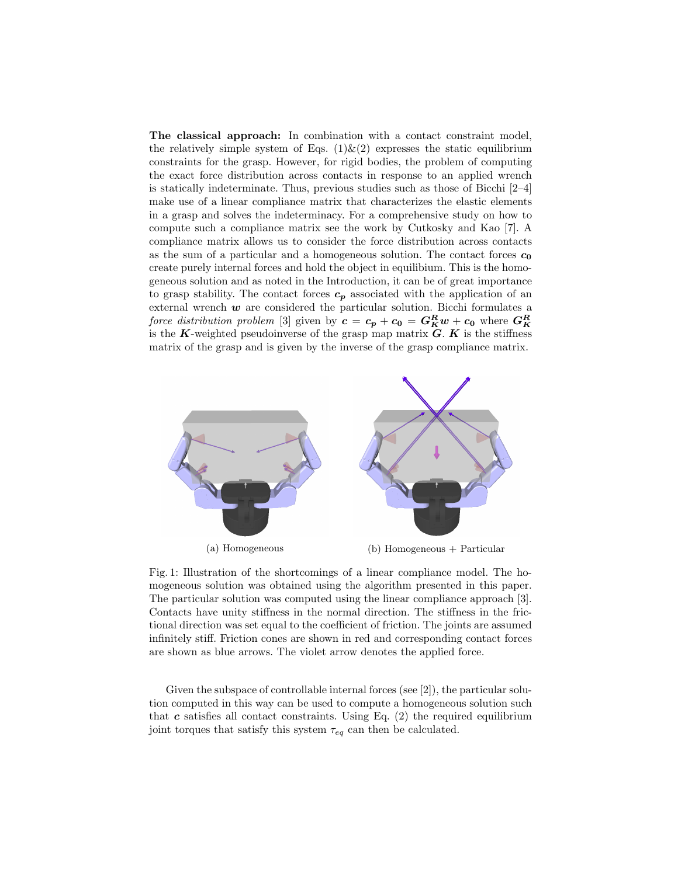The classical approach: In combination with a contact constraint model, the relatively simple system of Eqs.  $(1) \& (2)$  expresses the static equilibrium constraints for the grasp. However, for rigid bodies, the problem of computing the exact force distribution across contacts in response to an applied wrench is statically indeterminate. Thus, previous studies such as those of Bicchi [2–4] make use of a linear compliance matrix that characterizes the elastic elements in a grasp and solves the indeterminacy. For a comprehensive study on how to compute such a compliance matrix see the work by Cutkosky and Kao [7]. A compliance matrix allows us to consider the force distribution across contacts as the sum of a particular and a homogeneous solution. The contact forces  $c_0$ create purely internal forces and hold the object in equilibium. This is the homogeneous solution and as noted in the Introduction, it can be of great importance to grasp stability. The contact forces  $c_p$  associated with the application of an external wrench  $w$  are considered the particular solution. Bicchi formulates a force distribution problem [3] given by  $c = c_p + c_0 = G_K^R w + c_0$  where  $G_K^R$ is the  $K$ -weighted pseudoinverse of the grasp map matrix  $G$ .  $K$  is the stiffness matrix of the grasp and is given by the inverse of the grasp compliance matrix.



Fig. 1: Illustration of the shortcomings of a linear compliance model. The homogeneous solution was obtained using the algorithm presented in this paper. The particular solution was computed using the linear compliance approach [3]. Contacts have unity stiffness in the normal direction. The stiffness in the frictional direction was set equal to the coefficient of friction. The joints are assumed infinitely stiff. Friction cones are shown in red and corresponding contact forces are shown as blue arrows. The violet arrow denotes the applied force.

Given the subspace of controllable internal forces (see [2]), the particular solution computed in this way can be used to compute a homogeneous solution such that  $c$  satisfies all contact constraints. Using Eq.  $(2)$  the required equilibrium joint torques that satisfy this system  $\tau_{eq}$  can then be calculated.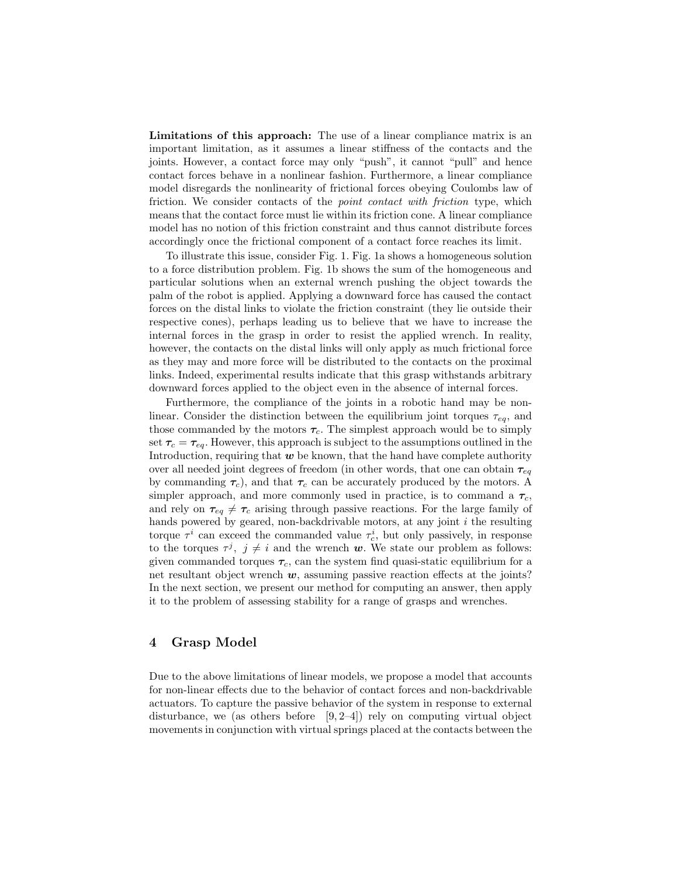Limitations of this approach: The use of a linear compliance matrix is an important limitation, as it assumes a linear stiffness of the contacts and the joints. However, a contact force may only "push", it cannot "pull" and hence contact forces behave in a nonlinear fashion. Furthermore, a linear compliance model disregards the nonlinearity of frictional forces obeying Coulombs law of friction. We consider contacts of the point contact with friction type, which means that the contact force must lie within its friction cone. A linear compliance model has no notion of this friction constraint and thus cannot distribute forces accordingly once the frictional component of a contact force reaches its limit.

To illustrate this issue, consider Fig. 1. Fig. 1a shows a homogeneous solution to a force distribution problem. Fig. 1b shows the sum of the homogeneous and particular solutions when an external wrench pushing the object towards the palm of the robot is applied. Applying a downward force has caused the contact forces on the distal links to violate the friction constraint (they lie outside their respective cones), perhaps leading us to believe that we have to increase the internal forces in the grasp in order to resist the applied wrench. In reality, however, the contacts on the distal links will only apply as much frictional force as they may and more force will be distributed to the contacts on the proximal links. Indeed, experimental results indicate that this grasp withstands arbitrary downward forces applied to the object even in the absence of internal forces.

Furthermore, the compliance of the joints in a robotic hand may be nonlinear. Consider the distinction between the equilibrium joint torques  $\tau_{eq}$ , and those commanded by the motors  $\tau_c$ . The simplest approach would be to simply set  $\tau_c = \tau_{eq}$ . However, this approach is subject to the assumptions outlined in the Introduction, requiring that  $w$  be known, that the hand have complete authority over all needed joint degrees of freedom (in other words, that one can obtain  $\tau_{eq}$ by commanding  $\tau_c$ ), and that  $\tau_c$  can be accurately produced by the motors. A simpler approach, and more commonly used in practice, is to command a  $\tau_c$ , and rely on  $\tau_{eq} \neq \tau_c$  arising through passive reactions. For the large family of hands powered by geared, non-backdrivable motors, at any joint  $i$  the resulting torque  $\tau^i$  can exceed the commanded value  $\tau_c^i$ , but only passively, in response to the torques  $\tau^j$ ,  $j \neq i$  and the wrench w. We state our problem as follows: given commanded torques  $\tau_c$ , can the system find quasi-static equilibrium for a net resultant object wrench  $w$ , assuming passive reaction effects at the joints? In the next section, we present our method for computing an answer, then apply it to the problem of assessing stability for a range of grasps and wrenches.

## 4 Grasp Model

Due to the above limitations of linear models, we propose a model that accounts for non-linear effects due to the behavior of contact forces and non-backdrivable actuators. To capture the passive behavior of the system in response to external disturbance, we (as others before [9, 2–4]) rely on computing virtual object movements in conjunction with virtual springs placed at the contacts between the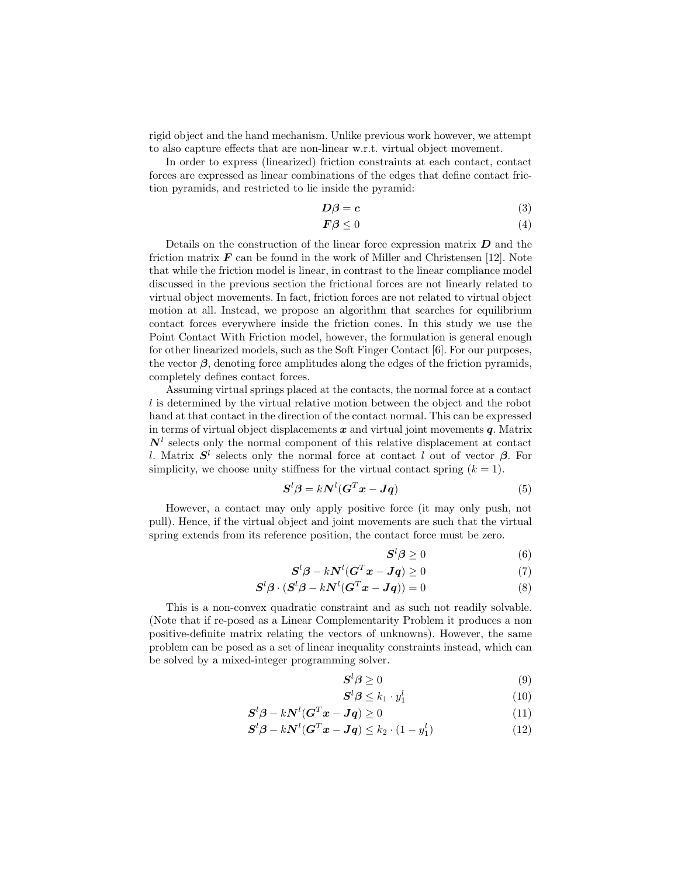rigid object and the hand mechanism. Unlike previous work however, we attempt to also capture effects that are non-linear w.r.t. virtual object movement.

In order to express (linearized) friction constraints at each contact, contact forces are expressed as linear combinations of the edges that define contact friction pyramids, and restricted to lie inside the pyramid:

$$
D\beta = c \tag{3}
$$

$$
\boldsymbol{F}\boldsymbol{\beta} \le 0\tag{4}
$$

Details on the construction of the linear force expression matrix  $D$  and the friction matrix  $\boldsymbol{F}$  can be found in the work of Miller and Christensen [12]. Note that while the friction model is linear, in contrast to the linear compliance model discussed in the previous section the frictional forces are not linearly related to virtual object movements. In fact, friction forces are not related to virtual object motion at all. Instead, we propose an algorithm that searches for equilibrium contact forces everywhere inside the friction cones. In this study we use the Point Contact With Friction model, however, the formulation is general enough for other linearized models, such as the Soft Finger Contact [6]. For our purposes, the vector  $\beta$ , denoting force amplitudes along the edges of the friction pyramids, completely defines contact forces.

Assuming virtual springs placed at the contacts, the normal force at a contact  $l$  is determined by the virtual relative motion between the object and the robot hand at that contact in the direction of the contact normal. This can be expressed in terms of virtual object displacements  $x$  and virtual joint movements  $q$ . Matrix  $N<sup>l</sup>$  selects only the normal component of this relative displacement at contact l. Matrix  $S^l$  selects only the normal force at contact l out of vector  $\beta$ . For simplicity, we choose unity stiffness for the virtual contact spring  $(k = 1)$ .

$$
\mathbf{S}^l \boldsymbol{\beta} = k \mathbf{N}^l (\mathbf{G}^T \mathbf{x} - \mathbf{J} \mathbf{q}) \tag{5}
$$

However, a contact may only apply positive force (it may only push, not pull). Hence, if the virtual object and joint movements are such that the virtual spring extends from its reference position, the contact force must be zero.

$$
\mathbf{S}^l \boldsymbol{\beta} \ge 0 \tag{6}
$$

$$
\mathbf{S}^{l}\boldsymbol{\beta} - k\mathbf{N}^{l}(\mathbf{G}^{T}\mathbf{x} - \mathbf{J}\mathbf{q}) \ge 0 \tag{7}
$$

$$
\mathbf{S}^{l}\boldsymbol{\beta}\cdot(\mathbf{S}^{l}\boldsymbol{\beta}-k\mathbf{N}^{l}(\mathbf{G}^{T}\mathbf{x}-\mathbf{J}\mathbf{q}))=0
$$
\n(8)

This is a non-convex quadratic constraint and as such not readily solvable. (Note that if re-posed as a Linear Complementarity Problem it produces a non positive-definite matrix relating the vectors of unknowns). However, the same problem can be posed as a set of linear inequality constraints instead, which can be solved by a mixed-integer programming solver.

$$
\mathbf{S}^l \boldsymbol{\beta} \ge 0 \tag{9}
$$

$$
\mathbf{S}^l \mathbf{\beta} \le k_1 \cdot y_1^l \tag{10}
$$

$$
\mathbf{S}^{l}\boldsymbol{\beta} - k\mathbf{N}^{l}(\mathbf{G}^{T}\mathbf{x} - \mathbf{J}\mathbf{q}) \ge 0 \tag{11}
$$

$$
\mathbf{S}^{l}\boldsymbol{\beta} - k\mathbf{N}^{l}(\mathbf{G}^{T}\mathbf{x} - \mathbf{J}\mathbf{q}) \leq k_{2} \cdot (1 - y_{1}^{l})
$$
\n(12)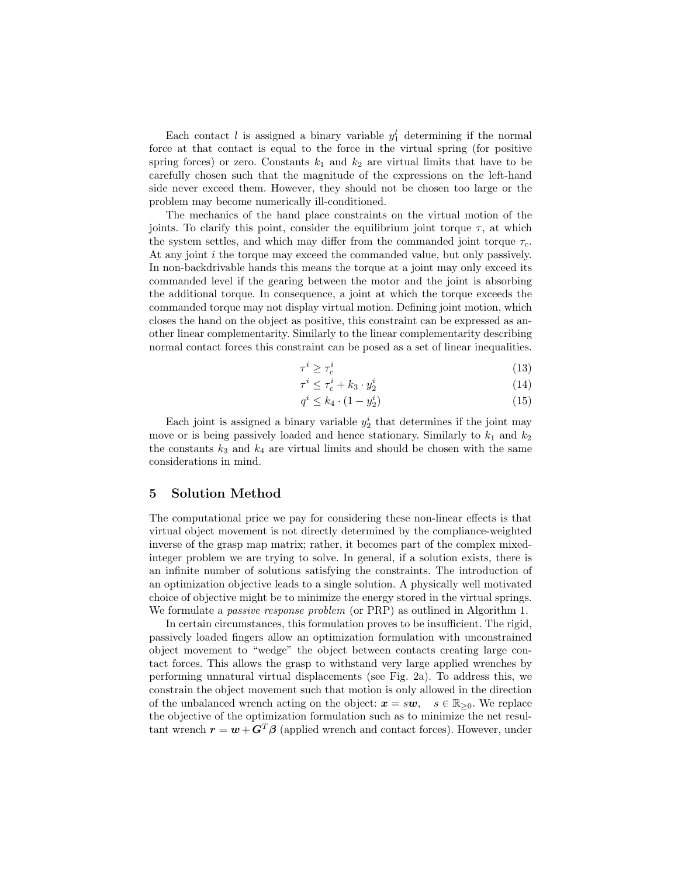Each contact l is assigned a binary variable  $y_1^l$  determining if the normal force at that contact is equal to the force in the virtual spring (for positive spring forces) or zero. Constants  $k_1$  and  $k_2$  are virtual limits that have to be carefully chosen such that the magnitude of the expressions on the left-hand side never exceed them. However, they should not be chosen too large or the problem may become numerically ill-conditioned.

The mechanics of the hand place constraints on the virtual motion of the joints. To clarify this point, consider the equilibrium joint torque  $\tau$ , at which the system settles, and which may differ from the commanded joint torque  $\tau_c$ . At any joint *i* the torque may exceed the commanded value, but only passively. In non-backdrivable hands this means the torque at a joint may only exceed its commanded level if the gearing between the motor and the joint is absorbing the additional torque. In consequence, a joint at which the torque exceeds the commanded torque may not display virtual motion. Defining joint motion, which closes the hand on the object as positive, this constraint can be expressed as another linear complementarity. Similarly to the linear complementarity describing normal contact forces this constraint can be posed as a set of linear inequalities.

$$
\tau^i \ge \tau^i_c \tag{13}
$$

$$
\tau^i \le \tau_c^i + k_3 \cdot y_2^i \tag{14}
$$

$$
q^i \le k_4 \cdot (1 - y_2^i) \tag{15}
$$

Each joint is assigned a binary variable  $y_2^i$  that determines if the joint may move or is being passively loaded and hence stationary. Similarly to  $k_1$  and  $k_2$ the constants  $k_3$  and  $k_4$  are virtual limits and should be chosen with the same considerations in mind.

## 5 Solution Method

The computational price we pay for considering these non-linear effects is that virtual object movement is not directly determined by the compliance-weighted inverse of the grasp map matrix; rather, it becomes part of the complex mixedinteger problem we are trying to solve. In general, if a solution exists, there is an infinite number of solutions satisfying the constraints. The introduction of an optimization objective leads to a single solution. A physically well motivated choice of objective might be to minimize the energy stored in the virtual springs. We formulate a *passive response problem* (or PRP) as outlined in Algorithm 1.

In certain circumstances, this formulation proves to be insufficient. The rigid, passively loaded fingers allow an optimization formulation with unconstrained object movement to "wedge" the object between contacts creating large contact forces. This allows the grasp to withstand very large applied wrenches by performing unnatural virtual displacements (see Fig. 2a). To address this, we constrain the object movement such that motion is only allowed in the direction of the unbalanced wrench acting on the object:  $x = sw$ ,  $s \in \mathbb{R}_{\geq 0}$ . We replace the objective of the optimization formulation such as to minimize the net resultant wrench  $r = w + G^T \beta$  (applied wrench and contact forces). However, under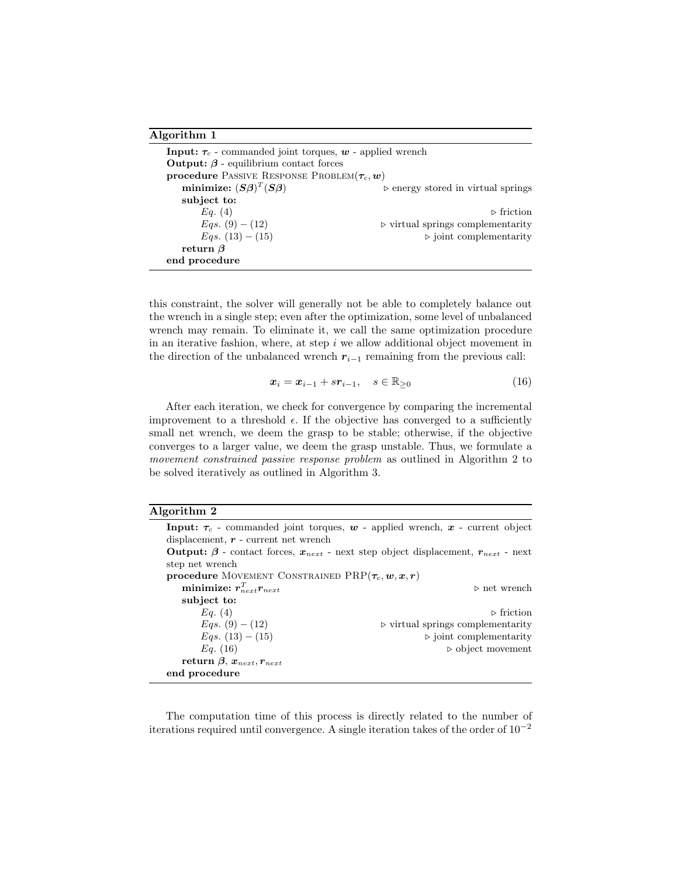#### Algorithm 1

| <b>Input:</b> $\tau_c$ - commanded joint torques, $w$ - applied wrench |                                                   |
|------------------------------------------------------------------------|---------------------------------------------------|
| <b>Output:</b> $\beta$ - equilibrium contact forces                    |                                                   |
| procedure PASSIVE RESPONSE PROBLEM $(\tau_c, w)$                       |                                                   |
| minimize: $(S\beta)^T(S\beta)$                                         | $\triangleright$ energy stored in virtual springs |
| subject to:                                                            |                                                   |
| Eq. (4)                                                                | $\triangleright$ friction                         |
| <i>Eqs.</i> (9) – (12)                                                 | $\triangleright$ virtual springs complementarity  |
| $Eqs. (13) - (15)$                                                     | $\triangleright$ joint complementarity            |
| return $\beta$                                                         |                                                   |
| end procedure                                                          |                                                   |

this constraint, the solver will generally not be able to completely balance out the wrench in a single step; even after the optimization, some level of unbalanced wrench may remain. To eliminate it, we call the same optimization procedure in an iterative fashion, where, at step  $i$  we allow additional object movement in the direction of the unbalanced wrench  $r_{i-1}$  remaining from the previous call:

$$
\boldsymbol{x}_i = \boldsymbol{x}_{i-1} + s\boldsymbol{r}_{i-1}, \quad s \in \mathbb{R}_{\geq 0} \tag{16}
$$

After each iteration, we check for convergence by comparing the incremental improvement to a threshold  $\epsilon$ . If the objective has converged to a sufficiently small net wrench, we deem the grasp to be stable; otherwise, if the objective converges to a larger value, we deem the grasp unstable. Thus, we formulate a movement constrained passive response problem as outlined in Algorithm 2 to be solved iteratively as outlined in Algorithm 3.

| Algorithm 2                                                                                            |                                                  |
|--------------------------------------------------------------------------------------------------------|--------------------------------------------------|
| <b>Input:</b> $\tau_c$ - commanded joint torques, w - applied wrench, x - current object               |                                                  |
| displacement, $\boldsymbol{r}$ - current net wrench                                                    |                                                  |
| <b>Output:</b> $\beta$ - contact forces, $x_{next}$ - next step object displacement, $r_{next}$ - next |                                                  |
| step net wrench                                                                                        |                                                  |
| procedure MOVEMENT CONSTRAINED $PRP(\tau_c, w, x, r)$                                                  |                                                  |
| minimize: $r_{next}^T r_{next}$                                                                        | $\triangleright$ net wrench                      |
| subject to:                                                                                            |                                                  |
| Eq. (4)                                                                                                | $\triangleright$ friction                        |
| $Eqs. (9) - (12)$                                                                                      | $\triangleright$ virtual springs complementarity |
| $Eqs. (13) - (15)$                                                                                     | $\triangleright$ joint complementarity           |
| Eq. (16)                                                                                               | $\triangleright$ object movement                 |
| return $\beta$ , $x_{next}, r_{next}$                                                                  |                                                  |
| end procedure                                                                                          |                                                  |

The computation time of this process is directly related to the number of iterations required until convergence. A single iteration takes of the order of  $10^{-2}$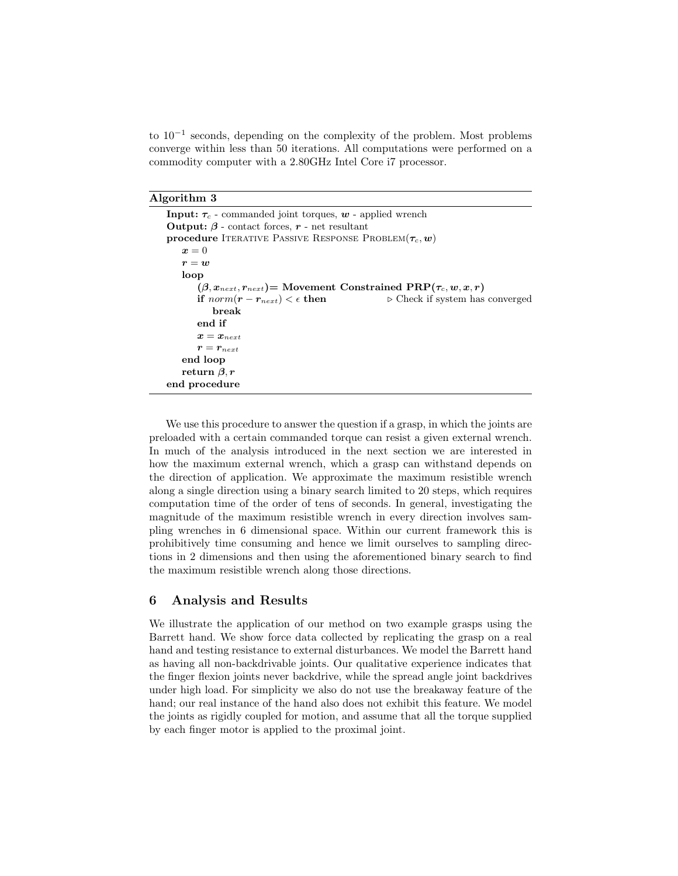to 10−<sup>1</sup> seconds, depending on the complexity of the problem. Most problems converge within less than 50 iterations. All computations were performed on a commodity computer with a 2.80GHz Intel Core i7 processor.

#### Algorithm 3

Input:  $\tau_c$  - commanded joint torques,  $w$  - applied wrench Output:  $\beta$  - contact forces,  $r$  - net resultant procedure Iterative Passive Response Problem $(\tau_c, w)$  $\boldsymbol{x}=0$  $r = w$ loop  $(\beta, x_{next}, r_{next})=$  Movement Constrained PRP( $\tau_c, w, x, r$ ) if  $norm(r - r_{next}) < \epsilon$  then  $\triangleright$  Check if system has converged break end if  $\boldsymbol{x} = \boldsymbol{x}_{next}$  $r = r_{next}$ end loop return  $\beta$ , r end procedure

We use this procedure to answer the question if a grasp, in which the joints are preloaded with a certain commanded torque can resist a given external wrench. In much of the analysis introduced in the next section we are interested in how the maximum external wrench, which a grasp can withstand depends on the direction of application. We approximate the maximum resistible wrench along a single direction using a binary search limited to 20 steps, which requires computation time of the order of tens of seconds. In general, investigating the magnitude of the maximum resistible wrench in every direction involves sampling wrenches in 6 dimensional space. Within our current framework this is prohibitively time consuming and hence we limit ourselves to sampling directions in 2 dimensions and then using the aforementioned binary search to find the maximum resistible wrench along those directions.

## 6 Analysis and Results

We illustrate the application of our method on two example grasps using the Barrett hand. We show force data collected by replicating the grasp on a real hand and testing resistance to external disturbances. We model the Barrett hand as having all non-backdrivable joints. Our qualitative experience indicates that the finger flexion joints never backdrive, while the spread angle joint backdrives under high load. For simplicity we also do not use the breakaway feature of the hand; our real instance of the hand also does not exhibit this feature. We model the joints as rigidly coupled for motion, and assume that all the torque supplied by each finger motor is applied to the proximal joint.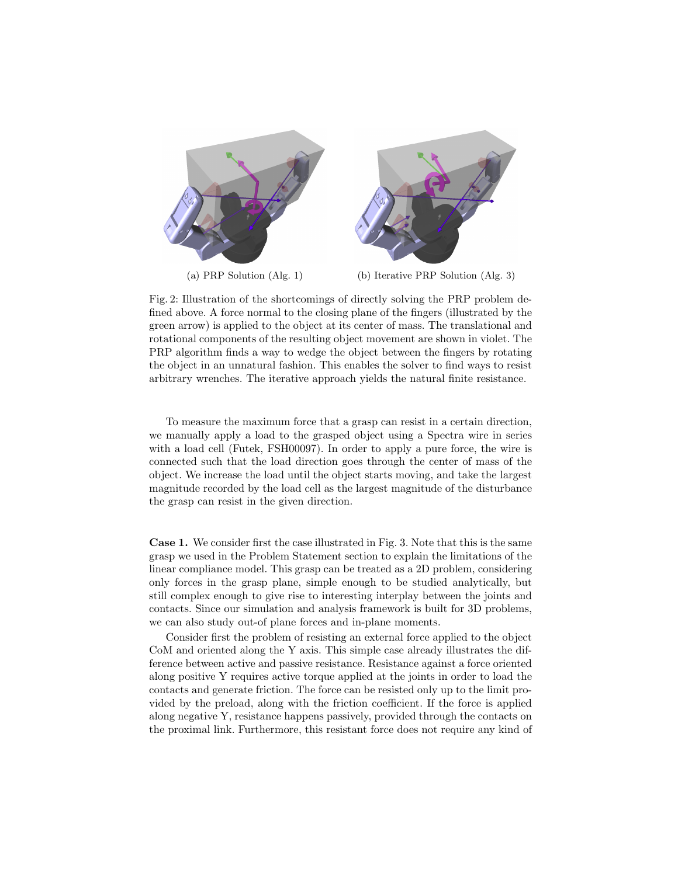

Fig. 2: Illustration of the shortcomings of directly solving the PRP problem defined above. A force normal to the closing plane of the fingers (illustrated by the green arrow) is applied to the object at its center of mass. The translational and rotational components of the resulting object movement are shown in violet. The PRP algorithm finds a way to wedge the object between the fingers by rotating the object in an unnatural fashion. This enables the solver to find ways to resist arbitrary wrenches. The iterative approach yields the natural finite resistance.

To measure the maximum force that a grasp can resist in a certain direction, we manually apply a load to the grasped object using a Spectra wire in series with a load cell (Futek, FSH00097). In order to apply a pure force, the wire is connected such that the load direction goes through the center of mass of the object. We increase the load until the object starts moving, and take the largest magnitude recorded by the load cell as the largest magnitude of the disturbance the grasp can resist in the given direction.

Case 1. We consider first the case illustrated in Fig. 3. Note that this is the same grasp we used in the Problem Statement section to explain the limitations of the linear compliance model. This grasp can be treated as a 2D problem, considering only forces in the grasp plane, simple enough to be studied analytically, but still complex enough to give rise to interesting interplay between the joints and contacts. Since our simulation and analysis framework is built for 3D problems, we can also study out-of plane forces and in-plane moments.

Consider first the problem of resisting an external force applied to the object CoM and oriented along the Y axis. This simple case already illustrates the difference between active and passive resistance. Resistance against a force oriented along positive Y requires active torque applied at the joints in order to load the contacts and generate friction. The force can be resisted only up to the limit provided by the preload, along with the friction coefficient. If the force is applied along negative Y, resistance happens passively, provided through the contacts on the proximal link. Furthermore, this resistant force does not require any kind of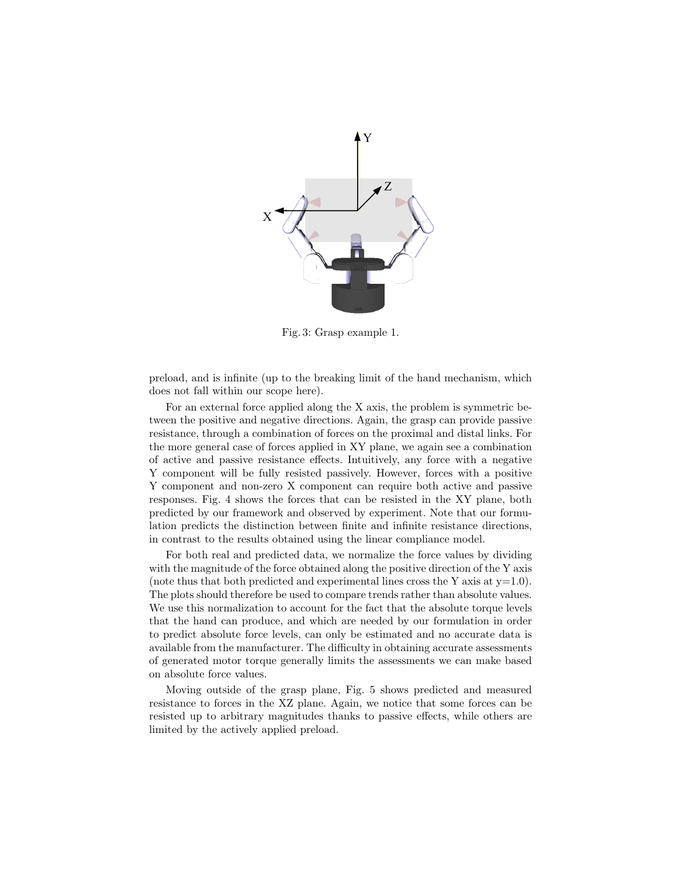

Fig. 3: Grasp example 1.

preload, and is infinite (up to the breaking limit of the hand mechanism, which does not fall within our scope here).

For an external force applied along the X axis, the problem is symmetric between the positive and negative directions. Again, the grasp can provide passive resistance, through a combination of forces on the proximal and distal links. For the more general case of forces applied in XY plane, we again see a combination of active and passive resistance effects. Intuitively, any force with a negative Y component will be fully resisted passively. However, forces with a positive Y component and non-zero X component can require both active and passive responses. Fig. 4 shows the forces that can be resisted in the XY plane, both predicted by our framework and observed by experiment. Note that our formulation predicts the distinction between finite and infinite resistance directions, in contrast to the results obtained using the linear compliance model.

For both real and predicted data, we normalize the force values by dividing with the magnitude of the force obtained along the positive direction of the Y axis (note thus that both predicted and experimental lines cross the Y axis at  $y=1.0$ ). The plots should therefore be used to compare trends rather than absolute values. We use this normalization to account for the fact that the absolute torque levels that the hand can produce, and which are needed by our formulation in order to predict absolute force levels, can only be estimated and no accurate data is available from the manufacturer. The difficulty in obtaining accurate assessments of generated motor torque generally limits the assessments we can make based on absolute force values.

Moving outside of the grasp plane, Fig. 5 shows predicted and measured resistance to forces in the XZ plane. Again, we notice that some forces can be resisted up to arbitrary magnitudes thanks to passive effects, while others are limited by the actively applied preload.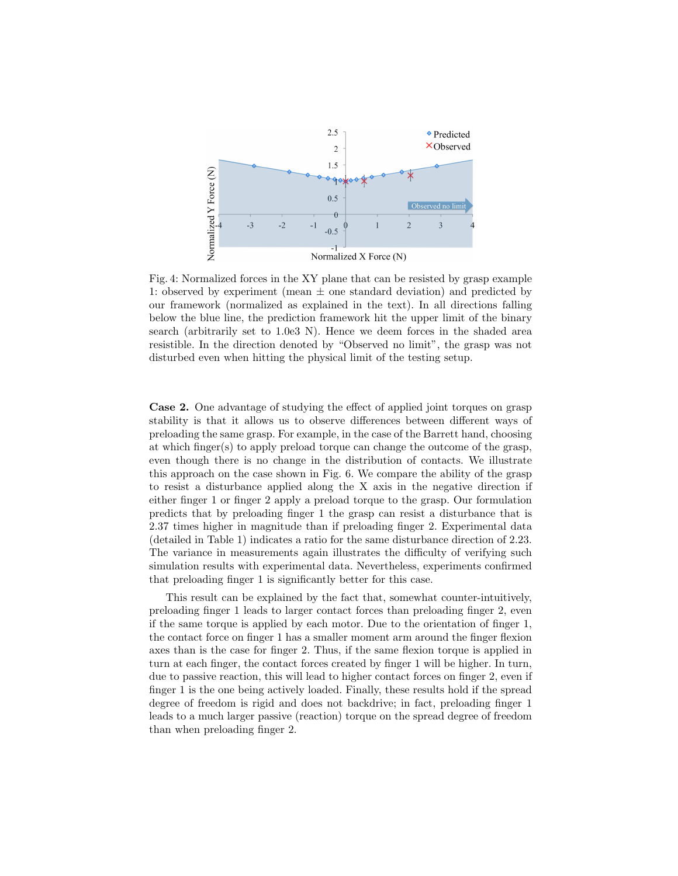

Fig. 4: Normalized forces in the XY plane that can be resisted by grasp example 1: observed by experiment (mean  $\pm$  one standard deviation) and predicted by our framework (normalized as explained in the text). In all directions falling below the blue line, the prediction framework hit the upper limit of the binary search (arbitrarily set to 1.0e3 N). Hence we deem forces in the shaded area resistible. In the direction denoted by "Observed no limit", the grasp was not disturbed even when hitting the physical limit of the testing setup.

Case 2. One advantage of studying the effect of applied joint torques on grasp stability is that it allows us to observe differences between different ways of preloading the same grasp. For example, in the case of the Barrett hand, choosing at which finger(s) to apply preload torque can change the outcome of the grasp, even though there is no change in the distribution of contacts. We illustrate this approach on the case shown in Fig. 6. We compare the ability of the grasp to resist a disturbance applied along the X axis in the negative direction if either finger 1 or finger 2 apply a preload torque to the grasp. Our formulation predicts that by preloading finger 1 the grasp can resist a disturbance that is 2.37 times higher in magnitude than if preloading finger 2. Experimental data (detailed in Table 1) indicates a ratio for the same disturbance direction of 2.23. The variance in measurements again illustrates the difficulty of verifying such simulation results with experimental data. Nevertheless, experiments confirmed that preloading finger 1 is significantly better for this case.

This result can be explained by the fact that, somewhat counter-intuitively, preloading finger 1 leads to larger contact forces than preloading finger 2, even if the same torque is applied by each motor. Due to the orientation of finger 1, the contact force on finger 1 has a smaller moment arm around the finger flexion axes than is the case for finger 2. Thus, if the same flexion torque is applied in turn at each finger, the contact forces created by finger 1 will be higher. In turn, due to passive reaction, this will lead to higher contact forces on finger 2, even if finger 1 is the one being actively loaded. Finally, these results hold if the spread degree of freedom is rigid and does not backdrive; in fact, preloading finger 1 leads to a much larger passive (reaction) torque on the spread degree of freedom than when preloading finger 2.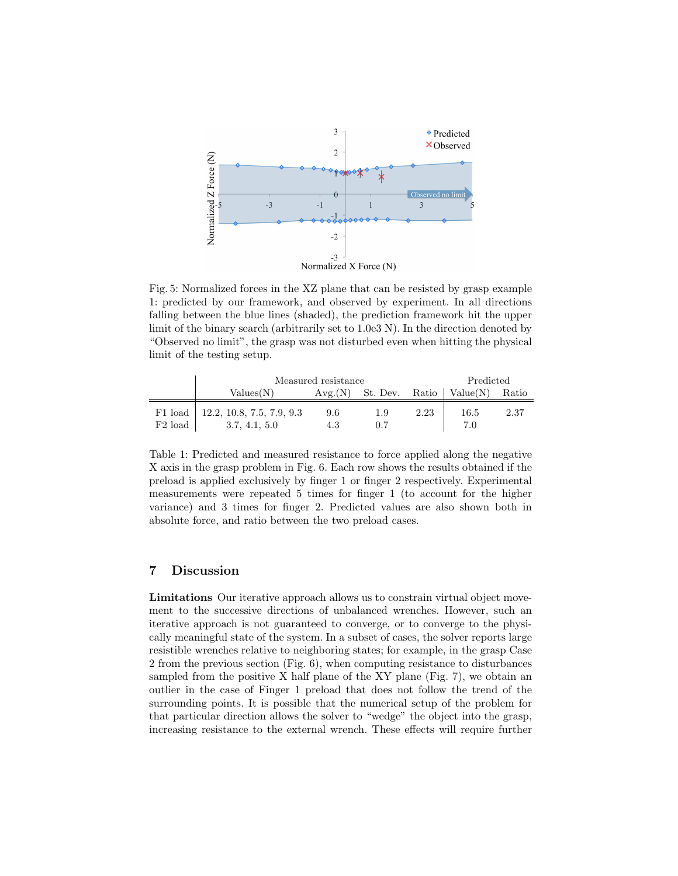

Fig. 5: Normalized forces in the XZ plane that can be resisted by grasp example 1: predicted by our framework, and observed by experiment. In all directions falling between the blue lines (shaded), the prediction framework hit the upper limit of the binary search (arbitrarily set to 1.0e3 N). In the direction denoted by "Observed no limit", the grasp was not disturbed even when hitting the physical limit of the testing setup.

|           | Measured resistance                                  |            |            | Predicted |                                     |       |
|-----------|------------------------------------------------------|------------|------------|-----------|-------------------------------------|-------|
|           | Values(N)                                            |            |            |           | $Avg.(N)$ St. Dev. Ratio   Value(N) | Ratio |
| $F2$ load | F1 load   12.2, 10.8, 7.5, 7.9, 9.3<br>3.7, 4.1, 5.0 | 9.6<br>4.3 | 1.9<br>0.7 | 2.23      | 16.5<br>7.0                         | 2.37  |

Table 1: Predicted and measured resistance to force applied along the negative X axis in the grasp problem in Fig. 6. Each row shows the results obtained if the preload is applied exclusively by finger 1 or finger 2 respectively. Experimental measurements were repeated 5 times for finger 1 (to account for the higher variance) and 3 times for finger 2. Predicted values are also shown both in absolute force, and ratio between the two preload cases.

## 7 Discussion

Limitations Our iterative approach allows us to constrain virtual object movement to the successive directions of unbalanced wrenches. However, such an iterative approach is not guaranteed to converge, or to converge to the physically meaningful state of the system. In a subset of cases, the solver reports large resistible wrenches relative to neighboring states; for example, in the grasp Case 2 from the previous section (Fig. 6), when computing resistance to disturbances sampled from the positive X half plane of the XY plane (Fig.  $7$ ), we obtain an outlier in the case of Finger 1 preload that does not follow the trend of the surrounding points. It is possible that the numerical setup of the problem for that particular direction allows the solver to "wedge" the object into the grasp, increasing resistance to the external wrench. These effects will require further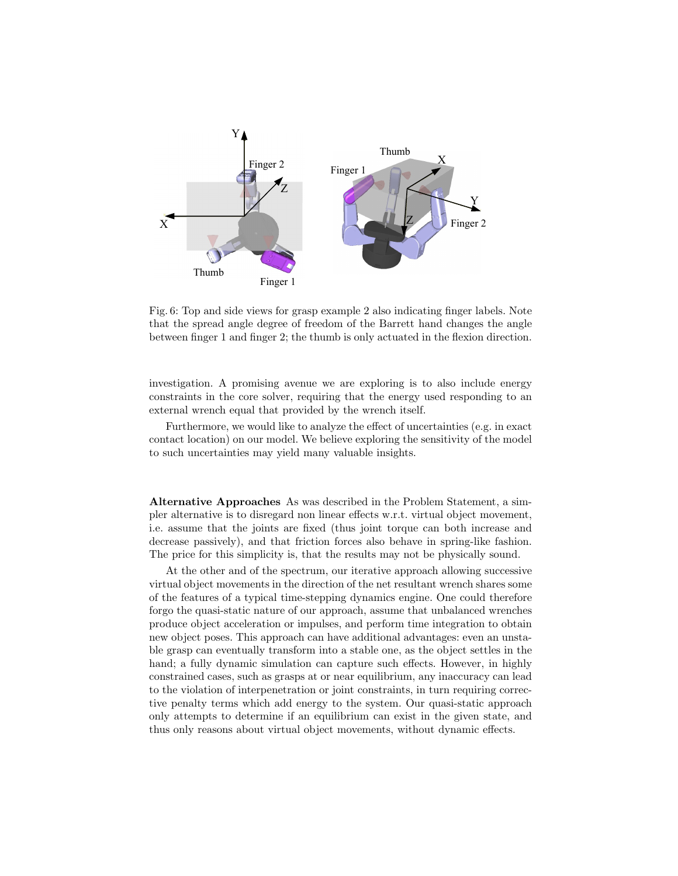

Fig. 6: Top and side views for grasp example 2 also indicating finger labels. Note that the spread angle degree of freedom of the Barrett hand changes the angle between finger 1 and finger 2; the thumb is only actuated in the flexion direction.

investigation. A promising avenue we are exploring is to also include energy constraints in the core solver, requiring that the energy used responding to an external wrench equal that provided by the wrench itself.

Furthermore, we would like to analyze the effect of uncertainties (e.g. in exact contact location) on our model. We believe exploring the sensitivity of the model to such uncertainties may yield many valuable insights.

Alternative Approaches As was described in the Problem Statement, a simpler alternative is to disregard non linear effects w.r.t. virtual object movement, i.e. assume that the joints are fixed (thus joint torque can both increase and decrease passively), and that friction forces also behave in spring-like fashion. The price for this simplicity is, that the results may not be physically sound.

At the other and of the spectrum, our iterative approach allowing successive virtual object movements in the direction of the net resultant wrench shares some of the features of a typical time-stepping dynamics engine. One could therefore forgo the quasi-static nature of our approach, assume that unbalanced wrenches produce object acceleration or impulses, and perform time integration to obtain new object poses. This approach can have additional advantages: even an unstable grasp can eventually transform into a stable one, as the object settles in the hand; a fully dynamic simulation can capture such effects. However, in highly constrained cases, such as grasps at or near equilibrium, any inaccuracy can lead to the violation of interpenetration or joint constraints, in turn requiring corrective penalty terms which add energy to the system. Our quasi-static approach only attempts to determine if an equilibrium can exist in the given state, and thus only reasons about virtual object movements, without dynamic effects.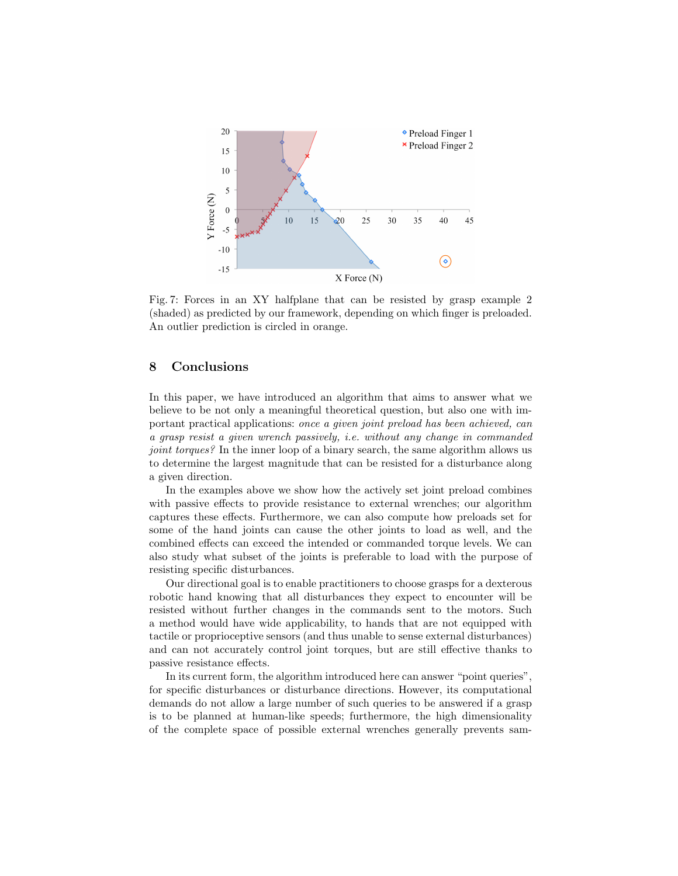

Fig. 7: Forces in an XY halfplane that can be resisted by grasp example 2 (shaded) as predicted by our framework, depending on which finger is preloaded. An outlier prediction is circled in orange.

## 8 Conclusions

In this paper, we have introduced an algorithm that aims to answer what we believe to be not only a meaningful theoretical question, but also one with important practical applications: once a given joint preload has been achieved, can a grasp resist a given wrench passively, i.e. without any change in commanded joint torques? In the inner loop of a binary search, the same algorithm allows us to determine the largest magnitude that can be resisted for a disturbance along a given direction.

In the examples above we show how the actively set joint preload combines with passive effects to provide resistance to external wrenches; our algorithm captures these effects. Furthermore, we can also compute how preloads set for some of the hand joints can cause the other joints to load as well, and the combined effects can exceed the intended or commanded torque levels. We can also study what subset of the joints is preferable to load with the purpose of resisting specific disturbances.

Our directional goal is to enable practitioners to choose grasps for a dexterous robotic hand knowing that all disturbances they expect to encounter will be resisted without further changes in the commands sent to the motors. Such a method would have wide applicability, to hands that are not equipped with tactile or proprioceptive sensors (and thus unable to sense external disturbances) and can not accurately control joint torques, but are still effective thanks to passive resistance effects.

In its current form, the algorithm introduced here can answer "point queries", for specific disturbances or disturbance directions. However, its computational demands do not allow a large number of such queries to be answered if a grasp is to be planned at human-like speeds; furthermore, the high dimensionality of the complete space of possible external wrenches generally prevents sam